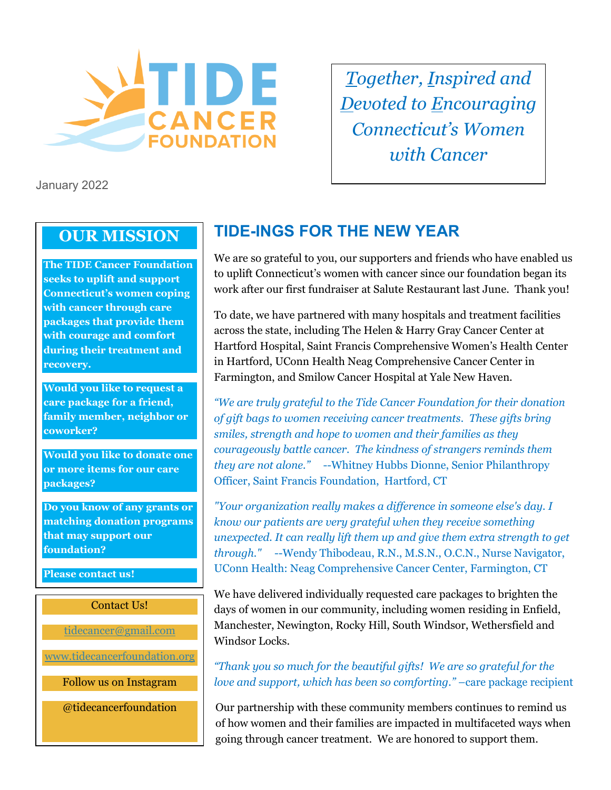

*Together, Inspired and Devoted to Encouraging Connecticut's Women with Cancer*

January 2022

## **OUR MISSION**

**The TIDE Cancer Foundation seeks to uplift and support Connecticut's women coping with cancer through care packages that provide them with courage and comfort during their treatment and recovery.**

**Would you like to request a care package for a friend, family member, neighbor or coworker?**

**Would you like to donate one or more items for our care packages?**

**Do you know of any grants or matching donation programs that may support our foundation?**

**Please contact us!**

Contact Us!

[tidecancer@gmail.com](mailto:tidecancer@gmail.com)

[www.tidecancerfoundation.org](http://www.tidecancerfoundation.org/)

Follow us on Instagram

@tidecancerfoundation

# **TIDE-INGS FOR THE NEW YEAR**

We are so grateful to you, our supporters and friends who have enabled us to uplift Connecticut's women with cancer since our foundation began its work after our first fundraiser at Salute Restaurant last June. Thank you!

To date, we have partnered with many hospitals and treatment facilities across the state, including The Helen & Harry Gray Cancer Center at Hartford Hospital, Saint Francis Comprehensive Women's Health Center in Hartford, UConn Health Neag Comprehensive Cancer Center in Farmington, and Smilow Cancer Hospital at Yale New Haven.

*"We are truly grateful to the Tide Cancer Foundation for their donation of gift bags to women receiving cancer treatments. These gifts bring smiles, strength and hope to women and their families as they courageously battle cancer. The kindness of strangers reminds them they are not alone."* --Whitney Hubbs Dionne, Senior Philanthropy Officer, Saint Francis Foundation, Hartford, CT

*"Your organization really makes a difference in someone else's day. I know our patients are very grateful when they receive something unexpected. It can really lift them up and give them extra strength to get through."* --Wendy Thibodeau, R.N., M.S.N., O.C.N., Nurse Navigator, UConn Health: Neag Comprehensive Cancer Center, Farmington, CT

We have delivered individually requested care packages to brighten the days of women in our community, including women residing in Enfield, Manchester, Newington, Rocky Hill, South Windsor, Wethersfield and Windsor Locks.

*"Thank you so much for the beautiful gifts! We are so grateful for the love and support, which has been so comforting."* –care package recipient

Our partnership with these community members continues to remind us of how women and their families are impacted in multifaceted ways when going through cancer treatment. We are honored to support them.